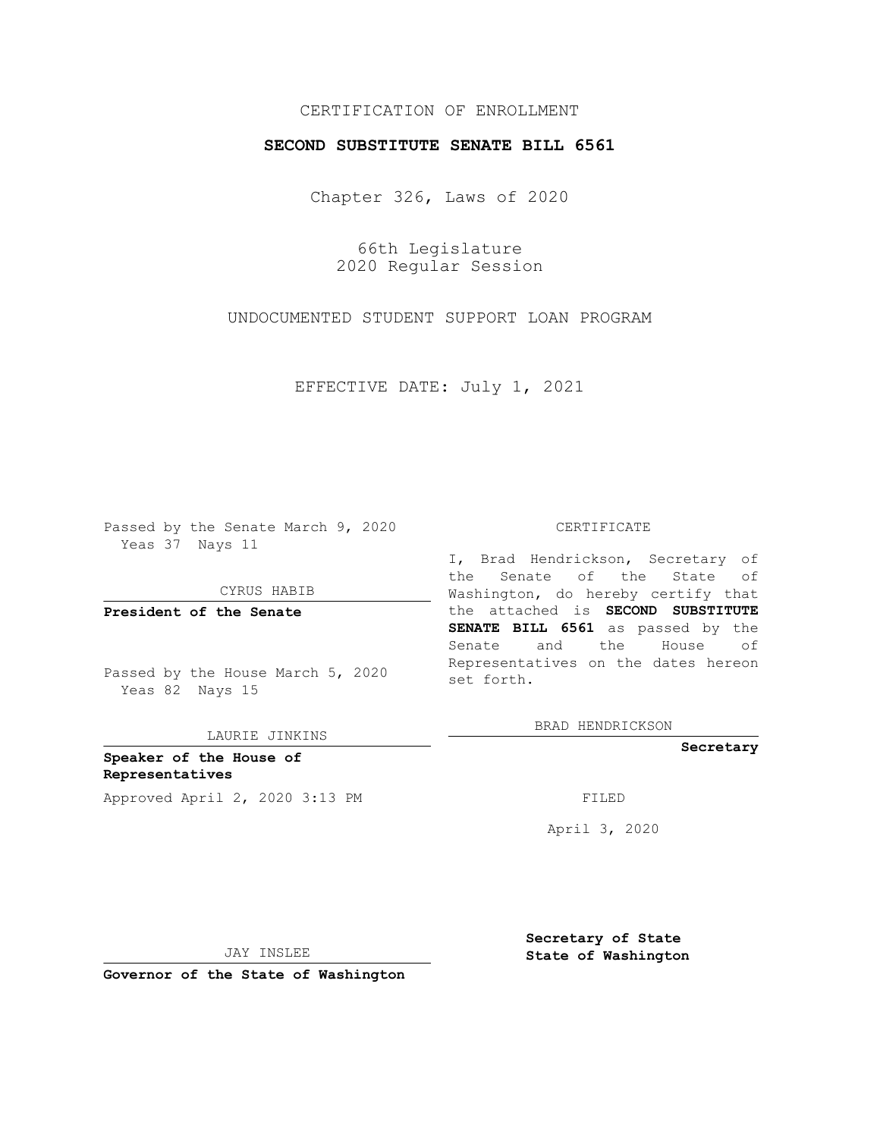## CERTIFICATION OF ENROLLMENT

## **SECOND SUBSTITUTE SENATE BILL 6561**

Chapter 326, Laws of 2020

66th Legislature 2020 Regular Session

UNDOCUMENTED STUDENT SUPPORT LOAN PROGRAM

EFFECTIVE DATE: July 1, 2021

Passed by the Senate March 9, 2020 Yeas 37 Nays 11

CYRUS HABIB

**President of the Senate**

Passed by the House March 5, 2020 Yeas 82 Nays 15

LAURIE JINKINS

**Speaker of the House of Representatives** Approved April 2, 2020 3:13 PM

#### CERTIFICATE

I, Brad Hendrickson, Secretary of the Senate of the State of Washington, do hereby certify that the attached is **SECOND SUBSTITUTE SENATE BILL 6561** as passed by the Senate and the House of Representatives on the dates hereon set forth.

BRAD HENDRICKSON

**Secretary**

April 3, 2020

JAY INSLEE

**Secretary of State State of Washington**

**Governor of the State of Washington**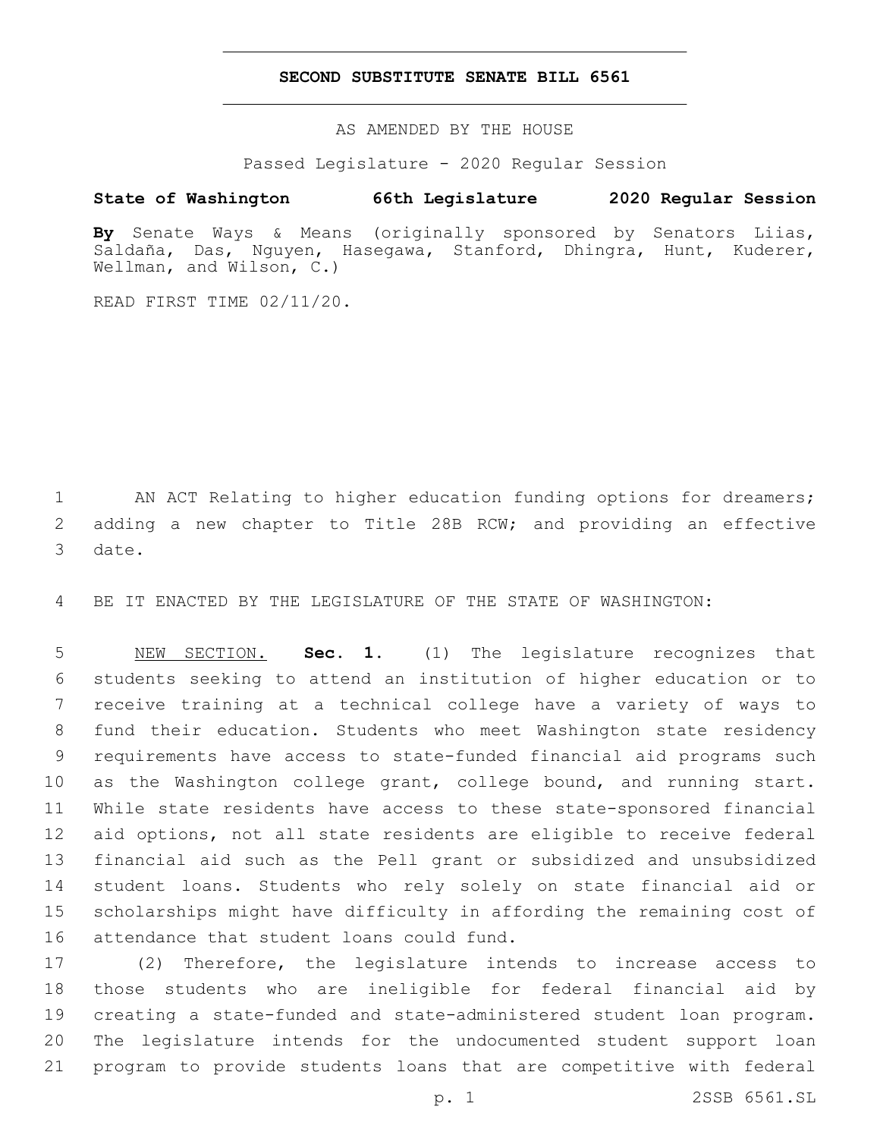### **SECOND SUBSTITUTE SENATE BILL 6561**

AS AMENDED BY THE HOUSE

Passed Legislature - 2020 Regular Session

# **State of Washington 66th Legislature 2020 Regular Session**

**By** Senate Ways & Means (originally sponsored by Senators Liias, Saldaña, Das, Nguyen, Hasegawa, Stanford, Dhingra, Hunt, Kuderer, Wellman, and Wilson, C.)

READ FIRST TIME 02/11/20.

1 AN ACT Relating to higher education funding options for dreamers; 2 adding a new chapter to Title 28B RCW; and providing an effective 3 date.

4 BE IT ENACTED BY THE LEGISLATURE OF THE STATE OF WASHINGTON:

 NEW SECTION. **Sec. 1.** (1) The legislature recognizes that students seeking to attend an institution of higher education or to receive training at a technical college have a variety of ways to fund their education. Students who meet Washington state residency requirements have access to state-funded financial aid programs such 10 as the Washington college grant, college bound, and running start. While state residents have access to these state-sponsored financial aid options, not all state residents are eligible to receive federal financial aid such as the Pell grant or subsidized and unsubsidized student loans. Students who rely solely on state financial aid or scholarships might have difficulty in affording the remaining cost of attendance that student loans could fund.

 (2) Therefore, the legislature intends to increase access to those students who are ineligible for federal financial aid by creating a state-funded and state-administered student loan program. The legislature intends for the undocumented student support loan program to provide students loans that are competitive with federal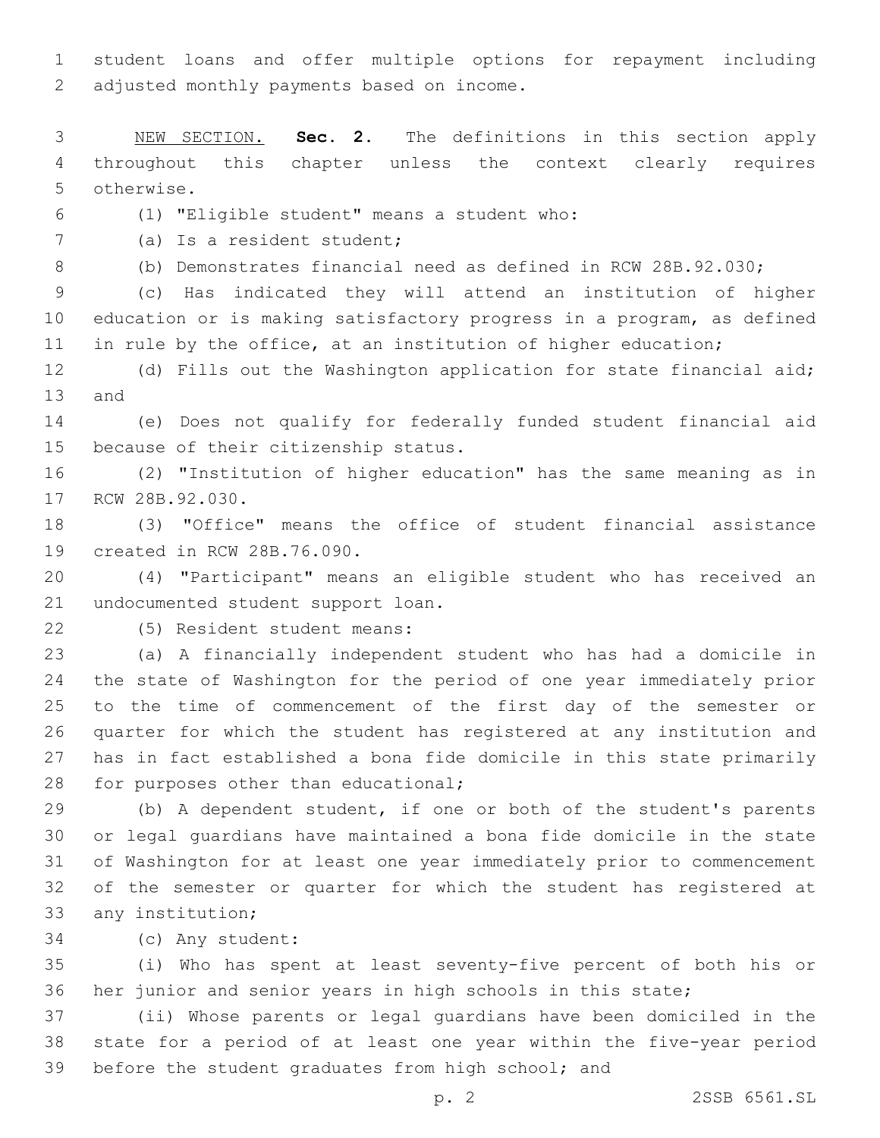student loans and offer multiple options for repayment including 2 adjusted monthly payments based on income.

 NEW SECTION. **Sec. 2.** The definitions in this section apply throughout this chapter unless the context clearly requires otherwise.

(1) "Eligible student" means a student who:6

7 (a) Is a resident student;

(b) Demonstrates financial need as defined in RCW 28B.92.030;

 (c) Has indicated they will attend an institution of higher education or is making satisfactory progress in a program, as defined in rule by the office, at an institution of higher education;

12 (d) Fills out the Washington application for state financial aid; 13 and

 (e) Does not qualify for federally funded student financial aid 15 because of their citizenship status.

 (2) "Institution of higher education" has the same meaning as in 17 RCW 28B.92.030.

 (3) "Office" means the office of student financial assistance 19 created in RCW 28B.76.090.

 (4) "Participant" means an eligible student who has received an 21 undocumented student support loan.

(5) Resident student means:22

 (a) A financially independent student who has had a domicile in the state of Washington for the period of one year immediately prior to the time of commencement of the first day of the semester or quarter for which the student has registered at any institution and has in fact established a bona fide domicile in this state primarily 28 for purposes other than educational;

 (b) A dependent student, if one or both of the student's parents or legal guardians have maintained a bona fide domicile in the state of Washington for at least one year immediately prior to commencement of the semester or quarter for which the student has registered at 33 any institution;

(c) Any student:34

 (i) Who has spent at least seventy-five percent of both his or her junior and senior years in high schools in this state;

 (ii) Whose parents or legal guardians have been domiciled in the state for a period of at least one year within the five-year period before the student graduates from high school; and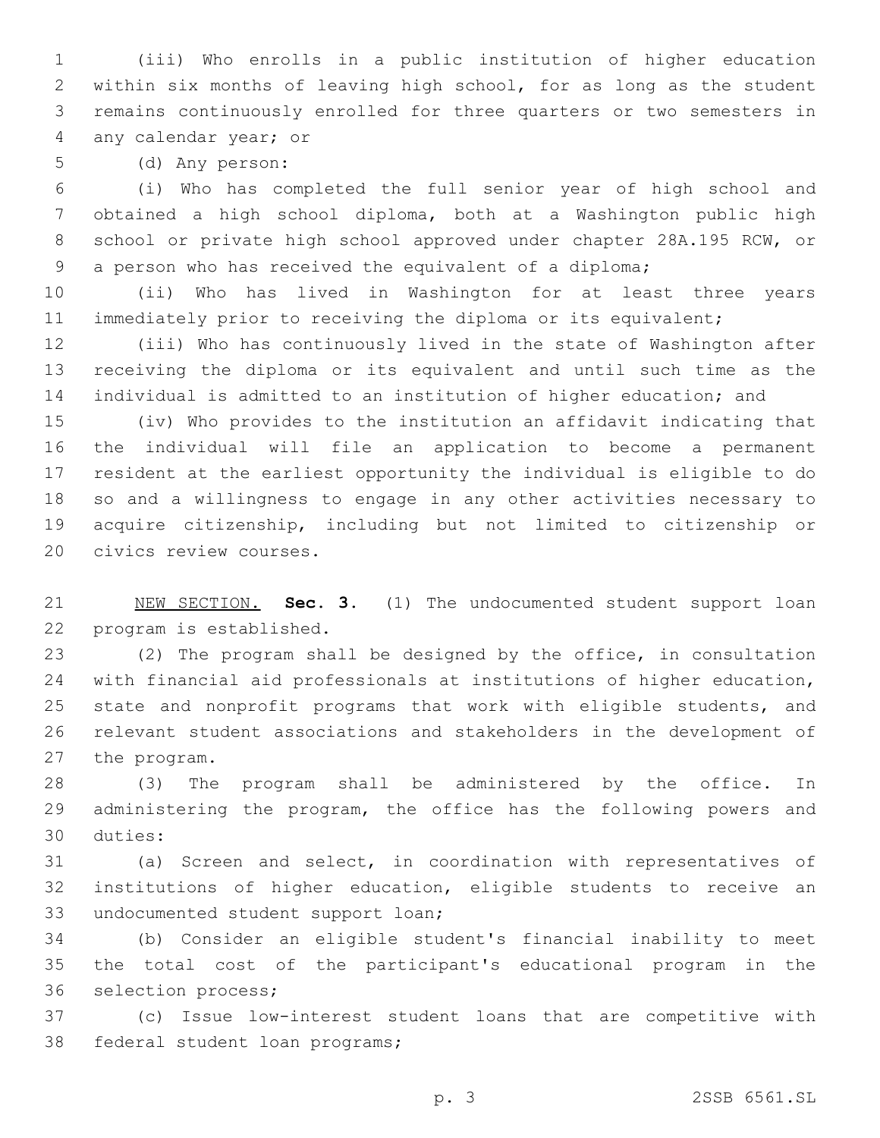(iii) Who enrolls in a public institution of higher education within six months of leaving high school, for as long as the student remains continuously enrolled for three quarters or two semesters in 4 any calendar year; or

(d) Any person:5

 (i) Who has completed the full senior year of high school and obtained a high school diploma, both at a Washington public high school or private high school approved under chapter 28A.195 RCW, or 9 a person who has received the equivalent of a diploma;

 (ii) Who has lived in Washington for at least three years immediately prior to receiving the diploma or its equivalent;

 (iii) Who has continuously lived in the state of Washington after receiving the diploma or its equivalent and until such time as the individual is admitted to an institution of higher education; and

 (iv) Who provides to the institution an affidavit indicating that the individual will file an application to become a permanent resident at the earliest opportunity the individual is eligible to do so and a willingness to engage in any other activities necessary to acquire citizenship, including but not limited to citizenship or 20 civics review courses.

 NEW SECTION. **Sec. 3.** (1) The undocumented student support loan program is established.

 (2) The program shall be designed by the office, in consultation with financial aid professionals at institutions of higher education, state and nonprofit programs that work with eligible students, and relevant student associations and stakeholders in the development of 27 the program.

 (3) The program shall be administered by the office. In administering the program, the office has the following powers and 30 duties:

 (a) Screen and select, in coordination with representatives of institutions of higher education, eligible students to receive an 33 undocumented student support loan;

 (b) Consider an eligible student's financial inability to meet the total cost of the participant's educational program in the 36 selection process;

 (c) Issue low-interest student loans that are competitive with 38 federal student loan programs;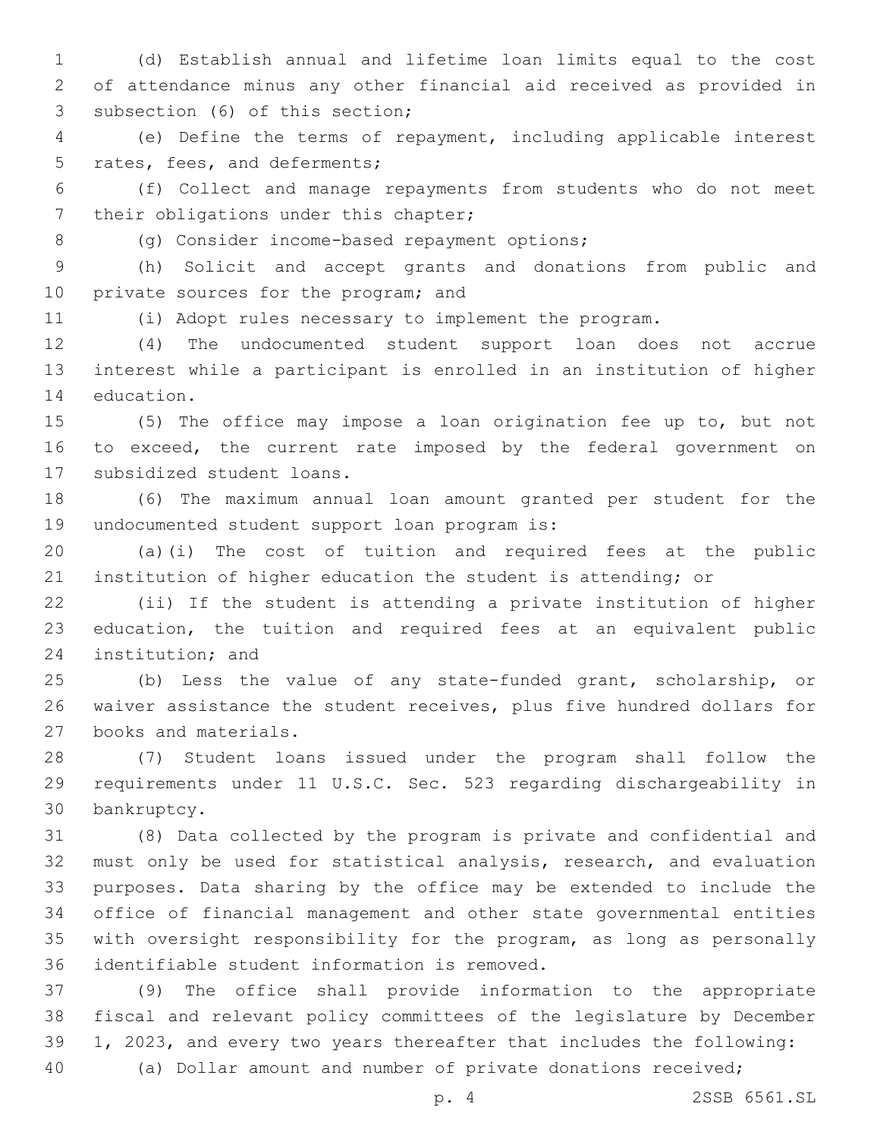(d) Establish annual and lifetime loan limits equal to the cost of attendance minus any other financial aid received as provided in 3 subsection (6) of this section;

 (e) Define the terms of repayment, including applicable interest 5 rates, fees, and deferments;

 (f) Collect and manage repayments from students who do not meet 7 their obligations under this chapter;

8 (g) Consider income-based repayment options;

 (h) Solicit and accept grants and donations from public and 10 private sources for the program; and

(i) Adopt rules necessary to implement the program.

 (4) The undocumented student support loan does not accrue interest while a participant is enrolled in an institution of higher 14 education.

 (5) The office may impose a loan origination fee up to, but not to exceed, the current rate imposed by the federal government on 17 subsidized student loans.

 (6) The maximum annual loan amount granted per student for the 19 undocumented student support loan program is:

 (a)(i) The cost of tuition and required fees at the public institution of higher education the student is attending; or

 (ii) If the student is attending a private institution of higher education, the tuition and required fees at an equivalent public 24 institution; and

 (b) Less the value of any state-funded grant, scholarship, or waiver assistance the student receives, plus five hundred dollars for 27 books and materials.

 (7) Student loans issued under the program shall follow the requirements under 11 U.S.C. Sec. 523 regarding dischargeability in 30 bankruptcy.

 (8) Data collected by the program is private and confidential and must only be used for statistical analysis, research, and evaluation purposes. Data sharing by the office may be extended to include the office of financial management and other state governmental entities with oversight responsibility for the program, as long as personally 36 identifiable student information is removed.

 (9) The office shall provide information to the appropriate fiscal and relevant policy committees of the legislature by December 1, 2023, and every two years thereafter that includes the following:

(a) Dollar amount and number of private donations received;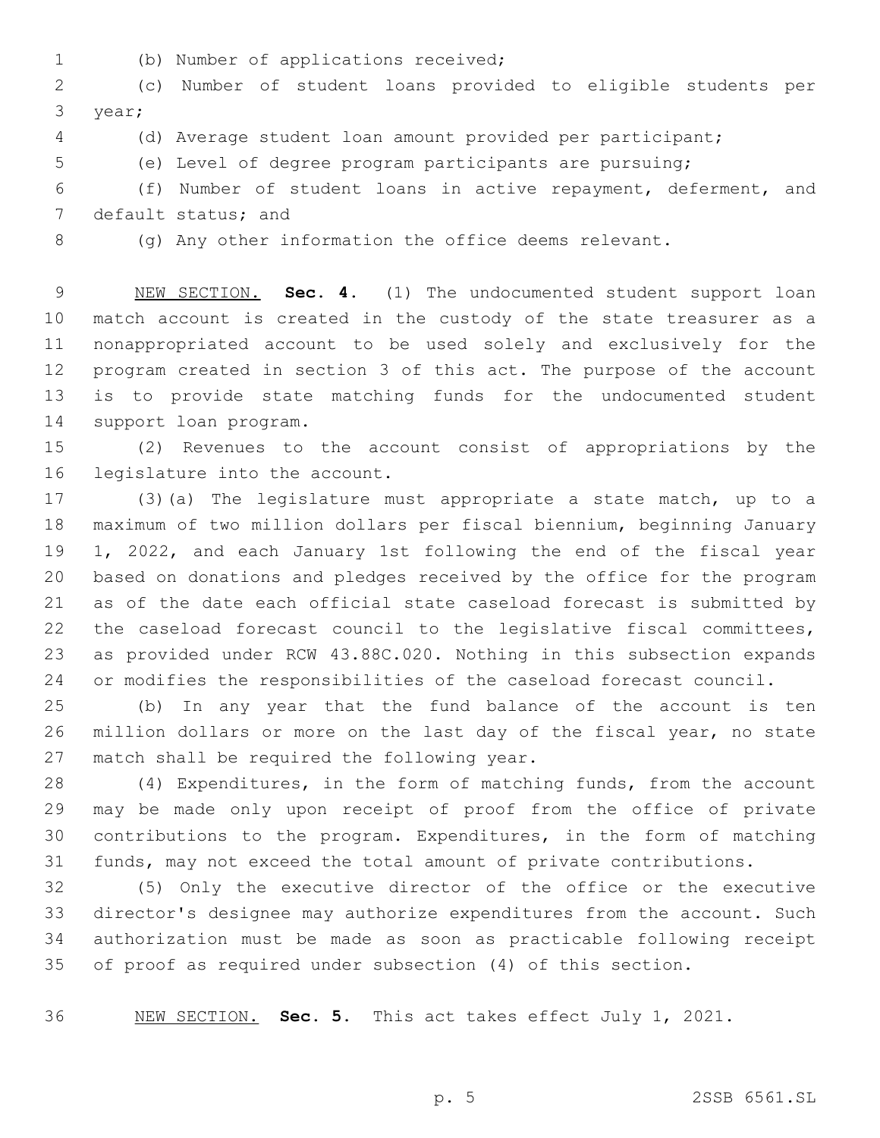(b) Number of applications received;1

 (c) Number of student loans provided to eligible students per 3 year;

- (d) Average student loan amount provided per participant;
- (e) Level of degree program participants are pursuing;

 (f) Number of student loans in active repayment, deferment, and 7 default status; and

(g) Any other information the office deems relevant.

 NEW SECTION. **Sec. 4.** (1) The undocumented student support loan match account is created in the custody of the state treasurer as a nonappropriated account to be used solely and exclusively for the program created in section 3 of this act. The purpose of the account is to provide state matching funds for the undocumented student support loan program.

 (2) Revenues to the account consist of appropriations by the 16 legislature into the account.

 (3)(a) The legislature must appropriate a state match, up to a maximum of two million dollars per fiscal biennium, beginning January 1, 2022, and each January 1st following the end of the fiscal year based on donations and pledges received by the office for the program as of the date each official state caseload forecast is submitted by the caseload forecast council to the legislative fiscal committees, as provided under RCW 43.88C.020. Nothing in this subsection expands or modifies the responsibilities of the caseload forecast council.

 (b) In any year that the fund balance of the account is ten million dollars or more on the last day of the fiscal year, no state 27 match shall be required the following year.

 (4) Expenditures, in the form of matching funds, from the account may be made only upon receipt of proof from the office of private contributions to the program. Expenditures, in the form of matching funds, may not exceed the total amount of private contributions.

 (5) Only the executive director of the office or the executive director's designee may authorize expenditures from the account. Such authorization must be made as soon as practicable following receipt of proof as required under subsection (4) of this section.

NEW SECTION. **Sec. 5.** This act takes effect July 1, 2021.